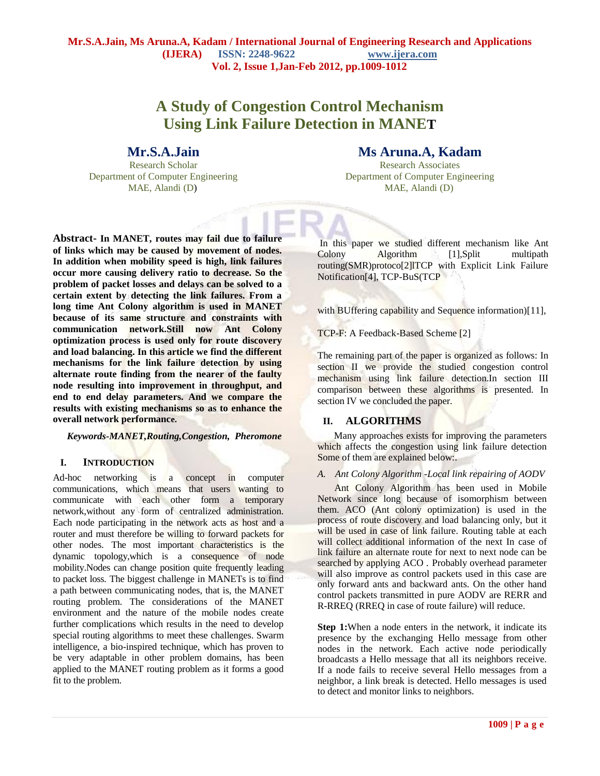# **A Study of Congestion Control Mechanism Using Link Failure Detection in MANET**

# **Mr.S.A.Jain**

Research Scholar Department of Computer Engineering MAE, Alandi (D)

# **Ms Aruna.A, Kadam**

Research Associates Department of Computer Engineering MAE, Alandi (D)

**Abstract- In MANET, routes may fail due to failure of links which may be caused by movement of nodes. In addition when mobility speed is high, link failures occur more causing delivery ratio to decrease. So the problem of packet losses and delays can be solved to a certain extent by detecting the link failures. From a long time Ant Colony algorithm is used in MANET because of its same structure and constraints with communication network.Still now Ant Colony optimization process is used only for route discovery and load balancing. In this article we find the different mechanisms for the link failure detection by using alternate route finding from the nearer of the faulty node resulting into improvement in throughput, and end to end delay parameters. And we compare the results with existing mechanisms so as to enhance the overall network performance.**

*Keywords-MANET,Routing,Congestion, Pheromone* 

#### **I. INTRODUCTION**

Ad-hoc networking is a concept in computer communications, which means that users wanting to communicate with each other form a temporary network,without any form of centralized administration. Each node participating in the network acts as host and a router and must therefore be willing to forward packets for other nodes. The most important characteristics is the dynamic topology,which is a consequence of node mobility.Nodes can change position quite frequently leading to packet loss. The biggest challenge in MANETs is to find a path between communicating nodes, that is, the MANET routing problem. The considerations of the MANET environment and the nature of the mobile nodes create further complications which results in the need to develop special routing algorithms to meet these challenges. Swarm intelligence, a bio-inspired technique, which has proven to be very adaptable in other problem domains, has been applied to the MANET routing problem as it forms a good fit to the problem.

In this paper we studied different mechanism like Ant Colony Algorithm [1],Split multipath routing(SMR)protoco[2]lTCP with Explicit Link Failure Notification[4], TCP-BuS(TCP

with BUffering capability and Sequence information)[11],

TCP-F: A Feedback-Based Scheme [2]

The remaining part of the paper is organized as follows: In section II we provide the studied congestion control mechanism using link failure detection.In section III comparison between these algorithms is presented. In section IV we concluded the paper.

### **II. ALGORITHMS**

Many approaches exists for improving the parameters which affects the congestion using link failure detection Some of them are explained below:.

### *A. Ant Colony Algorithm -Local link repairing of AODV*

Ant Colony Algorithm has been used in Mobile Network since long because of isomorphism between them. ACO (Ant colony optimization) is used in the process of route discovery and load balancing only, but it will be used in case of link failure. Routing table at each will collect additional information of the next In case of link failure an alternate route for next to next node can be searched by applying ACO . Probably overhead parameter will also improve as control packets used in this case are only forward ants and backward ants. On the other hand control packets transmitted in pure AODV are RERR and R-RREQ (RREQ in case of route failure) will reduce.

**Step 1:**When a node enters in the network, it indicate its presence by the exchanging Hello message from other nodes in the network. Each active node periodically broadcasts a Hello message that all its neighbors receive. If a node fails to receive several Hello messages from a neighbor, a link break is detected. Hello messages is used to detect and monitor links to neighbors.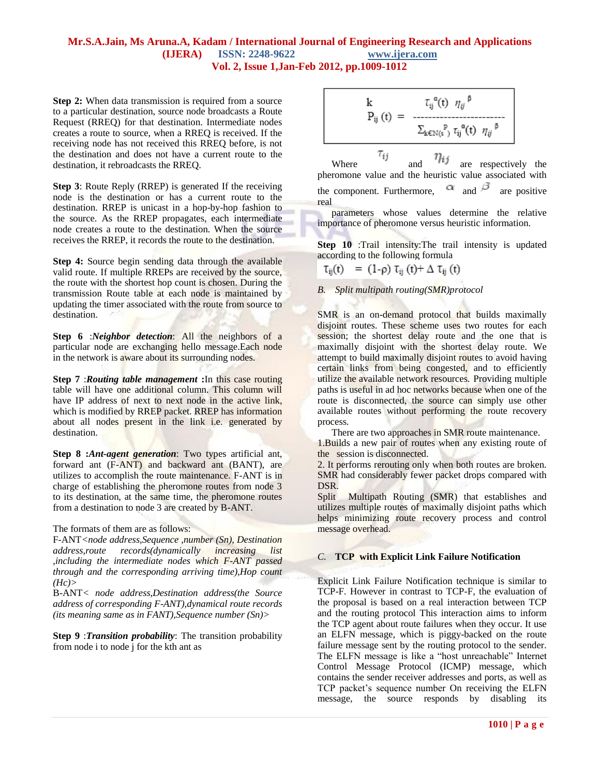#### **Mr.S.A.Jain, Ms Aruna.A, Kadam / International Journal of Engineering Research and Applications (IJERA) ISSN: 2248-9622 www.ijera.com Vol. 2, Issue 1,Jan-Feb 2012, pp.1009-1012**

**Step 2:** When data transmission is required from a source to a particular destination, source node broadcasts a Route Request (RREQ) for that destination. Intermediate nodes creates a route to source, when a RREQ is received. If the receiving node has not received this RREQ before, is not the destination and does not have a current route to the destination, it rebroadcasts the RREQ.

**Step 3**: Route Reply (RREP) is generated If the receiving node is the destination or has a current route to the destination. RREP is unicast in a hop-by-hop fashion to the source. As the RREP propagates, each intermediate node creates a route to the destination. When the source receives the RREP, it records the route to the destination.

**Step 4:** Source begin sending data through the available valid route. If multiple RREPs are received by the source, the route with the shortest hop count is chosen. During the transmission Route table at each node is maintained by updating the timer associated with the route from source to destination.

**Step 6** :*Neighbor detection*: All the neighbors of a particular node are exchanging hello message.Each node in the network is aware about its surrounding nodes.

**Step 7** :*Routing table management* **:**In this case routing table will have one additional column. This column will have IP address of next to next node in the active link, which is modified by RREP packet. RREP has information about all nodes present in the link i.e. generated by destination.

**Step 8 :***Ant-agent generation*: Two types artificial ant, forward ant (F-ANT) and backward ant (BANT), are utilizes to accomplish the route maintenance. F-ANT is in charge of establishing the pheromone routes from node 3 to its destination, at the same time, the pheromone routes from a destination to node 3 are created by B-ANT.

The formats of them are as follows:

F-ANT*<node address,Sequence ,number (Sn), Destination address,route records(dynamically increasing list ,including the intermediate nodes which F-ANT passed through and the corresponding arriving time),Hop count (Hc)>*

B-ANT*< node address,Destination address(the Source address of corresponding F-ANT),dynamical route records (its meaning same as in FANT),Sequence number (Sn)>*

**Step 9** :*Transition probability*: The transition probability from node i to node j for the kth ant as

$$
\begin{array}{rcl} k & \tau_{ij}^{\phantom{ij} \alpha}(t) \hspace{0.1in} \eta_{ij}^{\phantom{ij} \beta} \\ P_{ij} \left( t \right) \hspace{0.1in} = \hspace{0.1in} \begin{array}{rcl} \tau_{ij}^{\phantom{ij} \alpha}(t) \hspace{0.1in} \eta_{ij}^{\phantom{ij} \beta} \\ \sum_{k \in \mathbb{N}(s^{\phantom{ij} }_i \hspace{0.1in} \gamma} \tau_{ij}^{\phantom{ij} \alpha}(t) \hspace{0.1in} \eta_{ij}^{\phantom{ij} \beta} \end{array} \end{array}
$$

 $\tau_{ij}$ Where  $\frac{1}{i}$  and  $\frac{1}{i}$  are respectively the pheromone value and the heuristic value associated with the component. Furthermore,  $\alpha$  and  $\beta$  are positive real

parameters whose values determine the relative importance of pheromone versus heuristic information.

**Step 10** :Trail intensity: The trail intensity is updated according to the following formula

$$
\tau_{ij}(t) = (1-\rho) \tau_{ij} (t) + \Delta \tau_{ij} (t)
$$

#### *B. Split multipath routing(SMR)protocol*

SMR is an on-demand protocol that builds maximally disjoint routes. These scheme uses two routes for each session; the shortest delay route and the one that is maximally disjoint with the shortest delay route. We attempt to build maximally disjoint routes to avoid having certain links from being congested, and to efficiently utilize the available network resources. Providing multiple paths is useful in ad hoc networks because when one of the route is disconnected, the source can simply use other available routes without performing the route recovery process.

There are two approaches in SMR route maintenance.

1.Builds a new pair of routes when any existing route of the session is disconnected.

2. It performs rerouting only when both routes are broken. SMR had considerably fewer packet drops compared with DSR.

Split Multipath Routing (SMR) that establishes and utilizes multiple routes of maximally disjoint paths which helps minimizing route recovery process and control message overhead.

#### *C.* **TCP with Explicit Link Failure Notification**

Explicit Link Failure Notification technique is similar to TCP-F. However in contrast to TCP-F, the evaluation of the proposal is based on a real interaction between TCP and the routing protocol This interaction aims to inform the TCP agent about route failures when they occur. It use an ELFN message, which is piggy-backed on the route failure message sent by the routing protocol to the sender. The ELFN message is like a "host unreachable" Internet Control Message Protocol (ICMP) message, which contains the sender receiver addresses and ports, as well as TCP packet's sequence number On receiving the ELFN message, the source responds by disabling its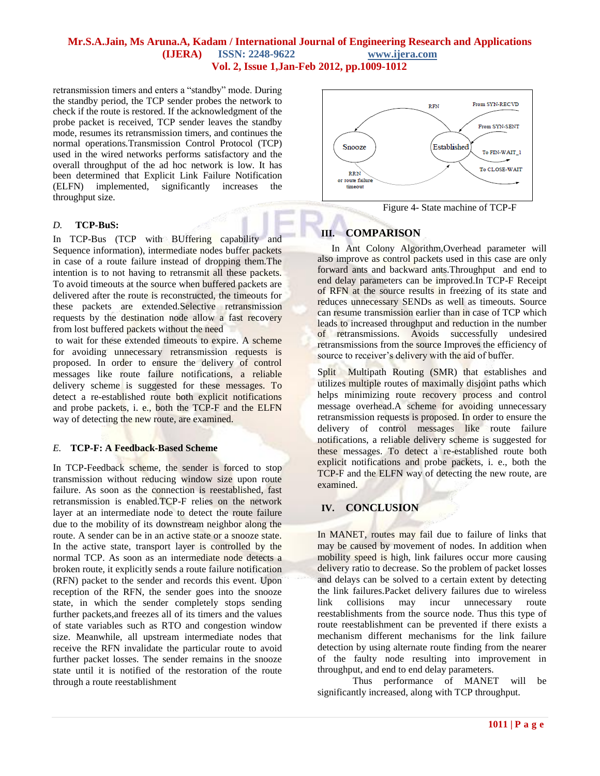#### **Mr.S.A.Jain, Ms Aruna.A, Kadam / International Journal of Engineering Research and Applications (IJERA) ISSN: 2248-9622 www.ijera.com Vol. 2, Issue 1,Jan-Feb 2012, pp.1009-1012**

retransmission timers and enters a "standby" mode. During the standby period, the TCP sender probes the network to check if the route is restored. If the acknowledgment of the probe packet is received, TCP sender leaves the standby mode, resumes its retransmission timers, and continues the normal operations*.*Transmission Control Protocol (TCP) used in the wired networks performs satisfactory and the overall throughput of the ad hoc network is low. It has been determined that Explicit Link Failure Notification (ELFN) implemented, significantly increases the throughput size.

#### *D.* **TCP-BuS:**

In TCP-Bus (TCP with BUffering capability and Sequence information), intermediate nodes buffer packets in case of a route failure instead of dropping them.The intention is to not having to retransmit all these packets. To avoid timeouts at the source when buffered packets are delivered after the route is reconstructed, the timeouts for these packets are extended.Selective retransmission requests by the destination node allow a fast recovery from lost buffered packets without the need

to wait for these extended timeouts to expire. A scheme for avoiding unnecessary retransmission requests is proposed. In order to ensure the delivery of control messages like route failure notifications, a reliable delivery scheme is suggested for these messages. To detect a re-established route both explicit notifications and probe packets, i. e., both the TCP-F and the ELFN way of detecting the new route, are examined.

#### *E.* **TCP-F: A Feedback-Based Scheme**

In TCP-Feedback scheme, the sender is forced to stop transmission without reducing window size upon route failure. As soon as the connection is reestablished, fast retransmission is enabled.TCP-F relies on the network layer at an intermediate node to detect the route failure due to the mobility of its downstream neighbor along the route. A sender can be in an active state or a snooze state. In the active state, transport layer is controlled by the normal TCP. As soon as an intermediate node detects a broken route, it explicitly sends a route failure notification (RFN) packet to the sender and records this event. Upon reception of the RFN, the sender goes into the snooze state, in which the sender completely stops sending further packets,and freezes all of its timers and the values of state variables such as RTO and congestion window size. Meanwhile, all upstream intermediate nodes that receive the RFN invalidate the particular route to avoid further packet losses. The sender remains in the snooze state until it is notified of the restoration of the route through a route reestablishment



Figure 4- State machine of TCP-F

# **III. COMPARISON**

In Ant Colony Algorithm,Overhead parameter will also improve as control packets used in this case are only forward ants and backward ants.Throughput and end to end delay parameters can be improved.In TCP-F Receipt of RFN at the source results in freezing of its state and reduces unnecessary SENDs as well as timeouts. Source can resume transmission earlier than in case of TCP which leads to increased throughput and reduction in the number of retransmissions. Avoids successfully undesired retransmissions from the source Improves the efficiency of source to receiver's delivery with the aid of buffer.

Split Multipath Routing (SMR) that establishes and utilizes multiple routes of maximally disjoint paths which helps minimizing route recovery process and control message overhead.A scheme for avoiding unnecessary retransmission requests is proposed. In order to ensure the delivery of control messages like route failure notifications, a reliable delivery scheme is suggested for these messages. To detect a re-established route both explicit notifications and probe packets, i. e., both the TCP-F and the ELFN way of detecting the new route, are examined.

## **IV. CONCLUSION**

In MANET, routes may fail due to failure of links that may be caused by movement of nodes. In addition when mobility speed is high, link failures occur more causing delivery ratio to decrease. So the problem of packet losses and delays can be solved to a certain extent by detecting the link failures.Packet delivery failures due to wireless link collisions may incur unnecessary route reestablishments from the source node. Thus this type of route reestablishment can be prevented if there exists a mechanism different mechanisms for the link failure detection by using alternate route finding from the nearer of the faulty node resulting into improvement in throughput, and end to end delay parameters.

Thus performance of MANET will be significantly increased, along with TCP throughput.